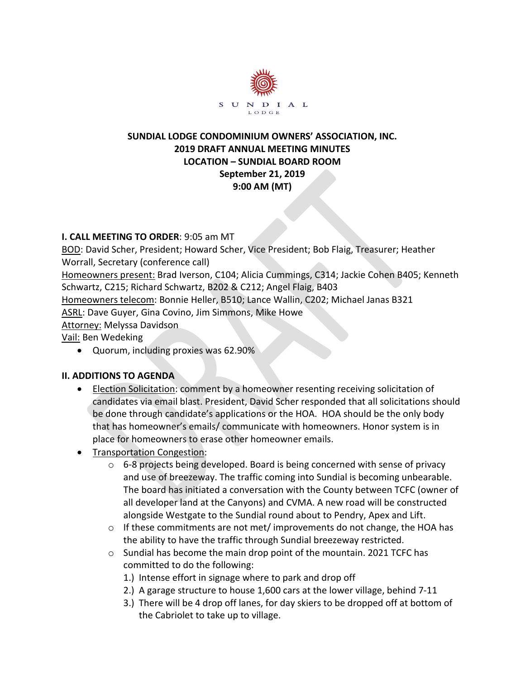

# **SUNDIAL LODGE CONDOMINIUM OWNERS' ASSOCIATION, INC. 2019 DRAFT ANNUAL MEETING MINUTES LOCATION – SUNDIAL BOARD ROOM September 21, 2019 9:00 AM (MT)**

# **I. CALL MEETING TO ORDER**: 9:05 am MT

BOD: David Scher, President; Howard Scher, Vice President; Bob Flaig, Treasurer; Heather Worrall, Secretary (conference call)

Homeowners present: Brad Iverson, C104; Alicia Cummings, C314; Jackie Cohen B405; Kenneth Schwartz, C215; Richard Schwartz, B202 & C212; Angel Flaig, B403

Homeowners telecom: Bonnie Heller, B510; Lance Wallin, C202; Michael Janas B321

ASRL: Dave Guyer, Gina Covino, Jim Simmons, Mike Howe

Attorney: Melyssa Davidson

Vail: Ben Wedeking

• Quorum, including proxies was 62.90%

# **II. ADDITIONS TO AGENDA**

- Election Solicitation: comment by a homeowner resenting receiving solicitation of candidates via email blast. President, David Scher responded that all solicitations should be done through candidate's applications or the HOA. HOA should be the only body that has homeowner's emails/ communicate with homeowners. Honor system is in place for homeowners to erase other homeowner emails.
- Transportation Congestion:
	- $\circ$  6-8 projects being developed. Board is being concerned with sense of privacy and use of breezeway. The traffic coming into Sundial is becoming unbearable. The board has initiated a conversation with the County between TCFC (owner of all developer land at the Canyons) and CVMA. A new road will be constructed alongside Westgate to the Sundial round about to Pendry, Apex and Lift.
	- o If these commitments are not met/ improvements do not change, the HOA has the ability to have the traffic through Sundial breezeway restricted.
	- $\circ$  Sundial has become the main drop point of the mountain. 2021 TCFC has committed to do the following:
		- 1.) Intense effort in signage where to park and drop off
		- 2.) A garage structure to house 1,600 cars at the lower village, behind 7-11
		- 3.) There will be 4 drop off lanes, for day skiers to be dropped off at bottom of the Cabriolet to take up to village.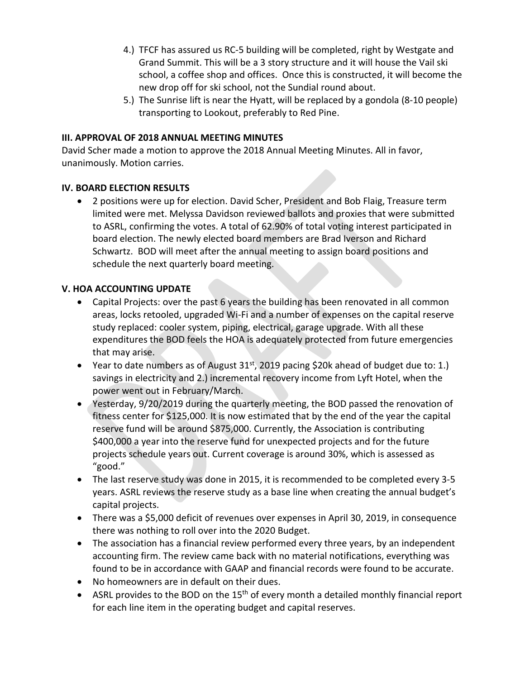- 4.) TFCF has assured us RC-5 building will be completed, right by Westgate and Grand Summit. This will be a 3 story structure and it will house the Vail ski school, a coffee shop and offices. Once this is constructed, it will become the new drop off for ski school, not the Sundial round about.
- 5.) The Sunrise lift is near the Hyatt, will be replaced by a gondola (8-10 people) transporting to Lookout, preferably to Red Pine.

## **III. APPROVAL OF 2018 ANNUAL MEETING MINUTES**

David Scher made a motion to approve the 2018 Annual Meeting Minutes. All in favor, unanimously. Motion carries.

#### **IV. BOARD ELECTION RESULTS**

• 2 positions were up for election. David Scher, President and Bob Flaig, Treasure term limited were met. Melyssa Davidson reviewed ballots and proxies that were submitted to ASRL, confirming the votes. A total of 62.90% of total voting interest participated in board election. The newly elected board members are Brad Iverson and Richard Schwartz. BOD will meet after the annual meeting to assign board positions and schedule the next quarterly board meeting.

#### **V. HOA ACCOUNTING UPDATE**

- Capital Projects: over the past 6 years the building has been renovated in all common areas, locks retooled, upgraded Wi-Fi and a number of expenses on the capital reserve study replaced: cooler system, piping, electrical, garage upgrade. With all these expenditures the BOD feels the HOA is adequately protected from future emergencies that may arise.
- Year to date numbers as of August  $31<sup>st</sup>$ , 2019 pacing \$20k ahead of budget due to: 1.) savings in electricity and 2.) incremental recovery income from Lyft Hotel, when the power went out in February/March.
- Yesterday, 9/20/2019 during the quarterly meeting, the BOD passed the renovation of fitness center for \$125,000. It is now estimated that by the end of the year the capital reserve fund will be around \$875,000. Currently, the Association is contributing \$400,000 a year into the reserve fund for unexpected projects and for the future projects schedule years out. Current coverage is around 30%, which is assessed as "good."
- The last reserve study was done in 2015, it is recommended to be completed every 3-5 years. ASRL reviews the reserve study as a base line when creating the annual budget's capital projects.
- There was a \$5,000 deficit of revenues over expenses in April 30, 2019, in consequence there was nothing to roll over into the 2020 Budget.
- The association has a financial review performed every three years, by an independent accounting firm. The review came back with no material notifications, everything was found to be in accordance with GAAP and financial records were found to be accurate.
- No homeowners are in default on their dues.
- ASRL provides to the BOD on the  $15<sup>th</sup>$  of every month a detailed monthly financial report for each line item in the operating budget and capital reserves.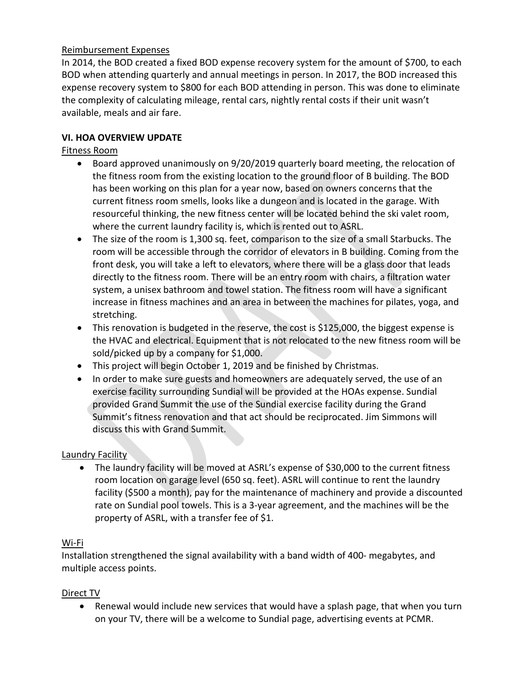## Reimbursement Expenses

In 2014, the BOD created a fixed BOD expense recovery system for the amount of \$700, to each BOD when attending quarterly and annual meetings in person. In 2017, the BOD increased this expense recovery system to \$800 for each BOD attending in person. This was done to eliminate the complexity of calculating mileage, rental cars, nightly rental costs if their unit wasn't available, meals and air fare.

## **VI. HOA OVERVIEW UPDATE**

## Fitness Room

- Board approved unanimously on 9/20/2019 quarterly board meeting, the relocation of the fitness room from the existing location to the ground floor of B building. The BOD has been working on this plan for a year now, based on owners concerns that the current fitness room smells, looks like a dungeon and is located in the garage. With resourceful thinking, the new fitness center will be located behind the ski valet room, where the current laundry facility is, which is rented out to ASRL.
- The size of the room is 1,300 sq. feet, comparison to the size of a small Starbucks. The room will be accessible through the corridor of elevators in B building. Coming from the front desk, you will take a left to elevators, where there will be a glass door that leads directly to the fitness room. There will be an entry room with chairs, a filtration water system, a unisex bathroom and towel station. The fitness room will have a significant increase in fitness machines and an area in between the machines for pilates, yoga, and stretching.
- This renovation is budgeted in the reserve, the cost is \$125,000, the biggest expense is the HVAC and electrical. Equipment that is not relocated to the new fitness room will be sold/picked up by a company for \$1,000.
- This project will begin October 1, 2019 and be finished by Christmas.
- In order to make sure guests and homeowners are adequately served, the use of an exercise facility surrounding Sundial will be provided at the HOAs expense. Sundial provided Grand Summit the use of the Sundial exercise facility during the Grand Summit's fitness renovation and that act should be reciprocated. Jim Simmons will discuss this with Grand Summit.

## Laundry Facility

• The laundry facility will be moved at ASRL's expense of \$30,000 to the current fitness room location on garage level (650 sq. feet). ASRL will continue to rent the laundry facility (\$500 a month), pay for the maintenance of machinery and provide a discounted rate on Sundial pool towels. This is a 3-year agreement, and the machines will be the property of ASRL, with a transfer fee of \$1.

## Wi-Fi

Installation strengthened the signal availability with a band width of 400- megabytes, and multiple access points.

## Direct TV

• Renewal would include new services that would have a splash page, that when you turn on your TV, there will be a welcome to Sundial page, advertising events at PCMR.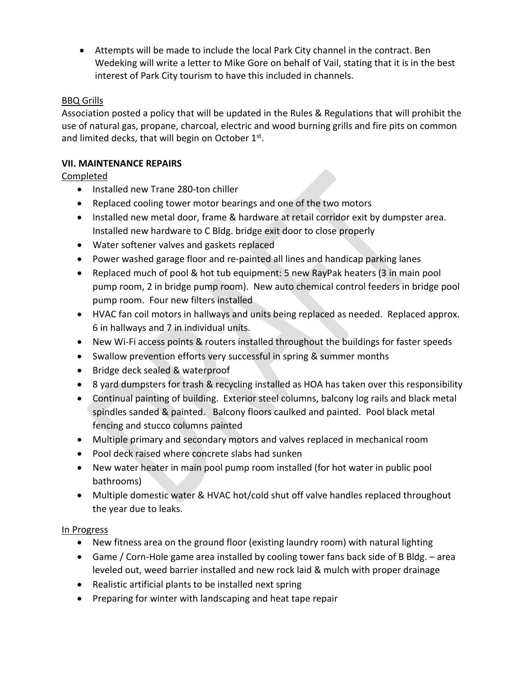• Attempts will be made to include the local Park City channel in the contract. Ben Wedeking will write a letter to Mike Gore on behalf of Vail, stating that it is in the best interest of Park City tourism to have this included in channels.

## BBQ Grills

Association posted a policy that will be updated in the Rules & Regulations that will prohibit the use of natural gas, propane, charcoal, electric and wood burning grills and fire pits on common and limited decks, that will begin on October 1st.

# **VII. MAINTENANCE REPAIRS**

# Completed

- Installed new Trane 280-ton chiller
- Replaced cooling tower motor bearings and one of the two motors
- Installed new metal door, frame & hardware at retail corridor exit by dumpster area. Installed new hardware to C Bldg. bridge exit door to close properly
- Water softener valves and gaskets replaced
- Power washed garage floor and re-painted all lines and handicap parking lanes
- Replaced much of pool & hot tub equipment: 5 new RayPak heaters (3 in main pool pump room, 2 in bridge pump room). New auto chemical control feeders in bridge pool pump room. Four new filters installed
- HVAC fan coil motors in hallways and units being replaced as needed. Replaced approx. 6 in hallways and 7 in individual units.
- New Wi-Fi access points & routers installed throughout the buildings for faster speeds
- Swallow prevention efforts very successful in spring & summer months
- Bridge deck sealed & waterproof
- 8 yard dumpsters for trash & recycling installed as HOA has taken over this responsibility
- Continual painting of building. Exterior steel columns, balcony log rails and black metal spindles sanded & painted. Balcony floors caulked and painted. Pool black metal fencing and stucco columns painted
- Multiple primary and secondary motors and valves replaced in mechanical room
- Pool deck raised where concrete slabs had sunken
- New water heater in main pool pump room installed (for hot water in public pool bathrooms)
- Multiple domestic water & HVAC hot/cold shut off valve handles replaced throughout the year due to leaks.

## In Progress

- New fitness area on the ground floor (existing laundry room) with natural lighting
- Game / Corn-Hole game area installed by cooling tower fans back side of B Bldg. area leveled out, weed barrier installed and new rock laid & mulch with proper drainage
- Realistic artificial plants to be installed next spring
- Preparing for winter with landscaping and heat tape repair